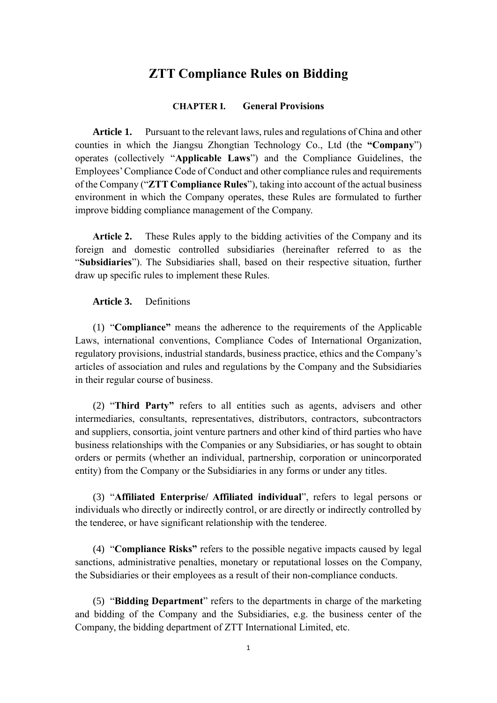### **ZTT Compliance Rules on Bidding**

### **CHAPTER I. General Provisions**

**Article 1.** Pursuant to the relevant laws, rules and regulations of China and other counties in which the Jiangsu Zhongtian Technology Co., Ltd (the **"Company**") operates (collectively "**Applicable Laws**") and the Compliance Guidelines, the Employees' Compliance Code of Conduct and other compliance rules and requirements of the Company ("**ZTT Compliance Rules**"), taking into account of the actual business environment in which the Company operates, these Rules are formulated to further improve bidding compliance management of the Company.

**Article 2.** These Rules apply to the bidding activities of the Company and its foreign and domestic controlled subsidiaries (hereinafter referred to as the "**Subsidiaries**"). The Subsidiaries shall, based on their respective situation, further draw up specific rules to implement these Rules.

**Article 3.** Definitions

(1) "**Compliance"** means the adherence to the requirements of the Applicable Laws, international conventions, Compliance Codes of International Organization, regulatory provisions, industrial standards, business practice, ethics and the Company's articles of association and rules and regulations by the Company and the Subsidiaries in their regular course of business.

(2) "**Third Party"** refers to all entities such as agents, advisers and other intermediaries, consultants, representatives, distributors, contractors, subcontractors and suppliers, consortia, joint venture partners and other kind of third parties who have business relationships with the Companies or any Subsidiaries, or has sought to obtain orders or permits (whether an individual, partnership, corporation or unincorporated entity) from the Company or the Subsidiaries in any forms or under any titles.

(3) "**Affiliated Enterprise/ Affiliated individual**", refers to legal persons or individuals who directly or indirectly control, or are directly or indirectly controlled by the tenderee, or have significant relationship with the tenderee.

(4) "**Compliance Risks"** refers to the possible negative impacts caused by legal sanctions, administrative penalties, monetary or reputational losses on the Company, the Subsidiaries or their employees as a result of their non-compliance conducts.

(5) "**Bidding Department**" refers to the departments in charge of the marketing and bidding of the Company and the Subsidiaries, e.g. the business center of the Company, the bidding department of ZTT International Limited, etc.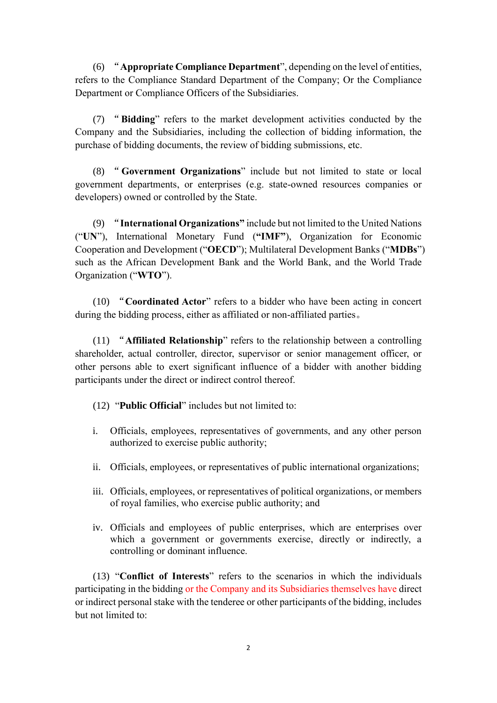(6) "**Appropriate Compliance Department**", depending on the level of entities, refers to the Compliance Standard Department of the Company; Or the Compliance Department or Compliance Officers of the Subsidiaries.

(7) "**Bidding**" refers to the market development activities conducted by the Company and the Subsidiaries, including the collection of bidding information, the purchase of bidding documents, the review of bidding submissions, etc.

(8) "**Government Organizations**" include but not limited to state or local government departments, or enterprises (e.g. state-owned resources companies or developers) owned or controlled by the State.

(9) "**International Organizations"** include but not limited to the United Nations ("**UN**"), International Monetary Fund (**"IMF"**), Organization for Economic Cooperation and Development ("**OECD**"); Multilateral Development Banks ("**MDBs**") such as the African Development Bank and the World Bank, and the World Trade Organization ("**WTO**").

(10) "**Coordinated Actor**" refers to a bidder who have been acting in concert during the bidding process, either as affiliated or non-affiliated parties。

(11) "**Affiliated Relationship**" refers to the relationship between a controlling shareholder, actual controller, director, supervisor or senior management officer, or other persons able to exert significant influence of a bidder with another bidding participants under the direct or indirect control thereof.

(12) "**Public Official**" includes but not limited to:

- i. Officials, employees, representatives of governments, and any other person authorized to exercise public authority;
- ii. Officials, employees, or representatives of public international organizations;
- iii. Officials, employees, or representatives of political organizations, or members of royal families, who exercise public authority; and
- iv. Officials and employees of public enterprises, which are enterprises over which a government or governments exercise, directly or indirectly, a controlling or dominant influence.

(13) "**Conflict of Interests**" refers to the scenarios in which the individuals participating in the bidding or the Company and its Subsidiaries themselves have direct or indirect personal stake with the tenderee or other participants of the bidding, includes but not limited to: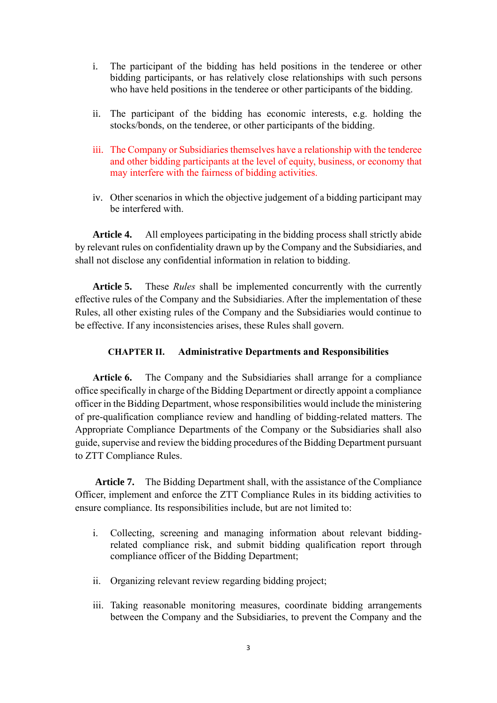- i. The participant of the bidding has held positions in the tenderee or other bidding participants, or has relatively close relationships with such persons who have held positions in the tenderee or other participants of the bidding.
- ii. The participant of the bidding has economic interests, e.g. holding the stocks/bonds, on the tenderee, or other participants of the bidding.
- iii. The Company or Subsidiaries themselves have a relationship with the tenderee and other bidding participants at the level of equity, business, or economy that may interfere with the fairness of bidding activities.
- iv. Other scenarios in which the objective judgement of a bidding participant may be interfered with.

**Article 4.** All employees participating in the bidding process shall strictly abide by relevant rules on confidentiality drawn up by the Company and the Subsidiaries, and shall not disclose any confidential information in relation to bidding.

**Article 5.** These *Rules* shall be implemented concurrently with the currently effective rules of the Company and the Subsidiaries. After the implementation of these Rules, all other existing rules of the Company and the Subsidiaries would continue to be effective. If any inconsistencies arises, these Rules shall govern.

#### **CHAPTER II. Administrative Departments and Responsibilities**

**Article 6.** The Company and the Subsidiaries shall arrange for a compliance office specifically in charge of the Bidding Department or directly appoint a compliance officer in the Bidding Department, whose responsibilities would include the ministering of pre-qualification compliance review and handling of bidding-related matters. The Appropriate Compliance Departments of the Company or the Subsidiaries shall also guide, supervise and review the bidding procedures of the Bidding Department pursuant to ZTT Compliance Rules.

**Article 7.** The Bidding Department shall, with the assistance of the Compliance Officer, implement and enforce the ZTT Compliance Rules in its bidding activities to ensure compliance. Its responsibilities include, but are not limited to:

- i. Collecting, screening and managing information about relevant biddingrelated compliance risk, and submit bidding qualification report through compliance officer of the Bidding Department;
- ii. Organizing relevant review regarding bidding project;
- iii. Taking reasonable monitoring measures, coordinate bidding arrangements between the Company and the Subsidiaries, to prevent the Company and the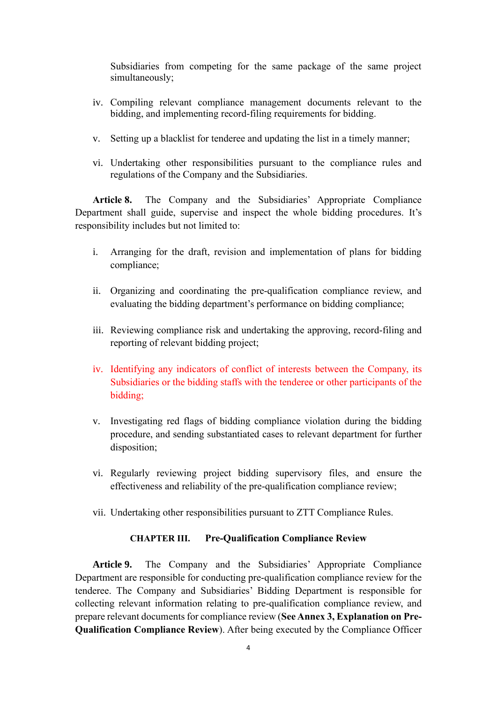Subsidiaries from competing for the same package of the same project simultaneously;

- iv. Compiling relevant compliance management documents relevant to the bidding, and implementing record-filing requirements for bidding.
- v. Setting up a blacklist for tenderee and updating the list in a timely manner;
- vi. Undertaking other responsibilities pursuant to the compliance rules and regulations of the Company and the Subsidiaries.

**Article 8.** The Company and the Subsidiaries' Appropriate Compliance Department shall guide, supervise and inspect the whole bidding procedures. It's responsibility includes but not limited to:

- i. Arranging for the draft, revision and implementation of plans for bidding compliance;
- ii. Organizing and coordinating the pre-qualification compliance review, and evaluating the bidding department's performance on bidding compliance;
- iii. Reviewing compliance risk and undertaking the approving, record-filing and reporting of relevant bidding project;
- iv. Identifying any indicators of conflict of interests between the Company, its Subsidiaries or the bidding staffs with the tenderee or other participants of the bidding;
- v. Investigating red flags of bidding compliance violation during the bidding procedure, and sending substantiated cases to relevant department for further disposition;
- vi. Regularly reviewing project bidding supervisory files, and ensure the effectiveness and reliability of the pre-qualification compliance review;
- vii. Undertaking other responsibilities pursuant to ZTT Compliance Rules.

#### **CHAPTER III. Pre-Qualification Compliance Review**

**Article 9.** The Company and the Subsidiaries' Appropriate Compliance Department are responsible for conducting pre-qualification compliance review for the tenderee. The Company and Subsidiaries' Bidding Department is responsible for collecting relevant information relating to pre-qualification compliance review, and prepare relevant documents for compliance review (**See Annex 3, Explanation on Pre-Qualification Compliance Review**). After being executed by the Compliance Officer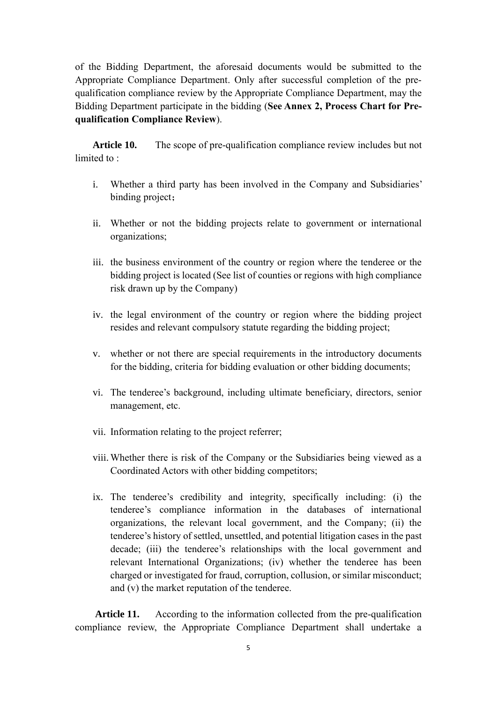of the Bidding Department, the aforesaid documents would be submitted to the Appropriate Compliance Department. Only after successful completion of the prequalification compliance review by the Appropriate Compliance Department, may the Bidding Department participate in the bidding (**See Annex 2, Process Chart for Prequalification Compliance Review**).

**Article 10.** The scope of pre-qualification compliance review includes but not limited to:

- i. Whether a third party has been involved in the Company and Subsidiaries' binding project;
- ii. Whether or not the bidding projects relate to government or international organizations;
- iii. the business environment of the country or region where the tenderee or the bidding project is located (See list of counties or regions with high compliance risk drawn up by the Company)
- iv. the legal environment of the country or region where the bidding project resides and relevant compulsory statute regarding the bidding project;
- v. whether or not there are special requirements in the introductory documents for the bidding, criteria for bidding evaluation or other bidding documents;
- vi. The tenderee's background, including ultimate beneficiary, directors, senior management, etc.
- vii. Information relating to the project referrer;
- viii. Whether there is risk of the Company or the Subsidiaries being viewed as a Coordinated Actors with other bidding competitors;
- ix. The tenderee's credibility and integrity, specifically including: (i) the tenderee's compliance information in the databases of international organizations, the relevant local government, and the Company; (ii) the tenderee's history of settled, unsettled, and potential litigation cases in the past decade; (iii) the tenderee's relationships with the local government and relevant International Organizations; (iv) whether the tenderee has been charged or investigated for fraud, corruption, collusion, or similar misconduct; and (v) the market reputation of the tenderee.

**Article 11.** According to the information collected from the pre-qualification compliance review, the Appropriate Compliance Department shall undertake a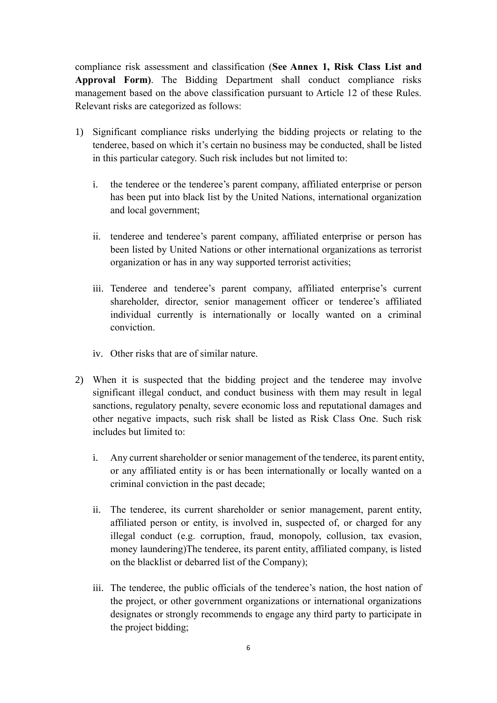compliance risk assessment and classification (**See Annex 1, Risk Class List and Approval Form)**. The Bidding Department shall conduct compliance risks management based on the above classification pursuant to Article 12 of these Rules. Relevant risks are categorized as follows:

- 1) Significant compliance risks underlying the bidding projects or relating to the tenderee, based on which it's certain no business may be conducted, shall be listed in this particular category. Such risk includes but not limited to:
	- i. the tenderee or the tenderee's parent company, affiliated enterprise or person has been put into black list by the United Nations, international organization and local government;
	- ii. tenderee and tenderee's parent company, affiliated enterprise or person has been listed by United Nations or other international organizations as terrorist organization or has in any way supported terrorist activities;
	- iii. Tenderee and tenderee's parent company, affiliated enterprise's current shareholder, director, senior management officer or tenderee's affiliated individual currently is internationally or locally wanted on a criminal conviction.
	- iv. Other risks that are of similar nature.
- 2) When it is suspected that the bidding project and the tenderee may involve significant illegal conduct, and conduct business with them may result in legal sanctions, regulatory penalty, severe economic loss and reputational damages and other negative impacts, such risk shall be listed as Risk Class One. Such risk includes but limited to:
	- i. Any current shareholder or senior management of the tenderee, its parent entity, or any affiliated entity is or has been internationally or locally wanted on a criminal conviction in the past decade;
	- ii. The tenderee, its current shareholder or senior management, parent entity, affiliated person or entity, is involved in, suspected of, or charged for any illegal conduct (e.g. corruption, fraud, monopoly, collusion, tax evasion, money laundering)The tenderee, its parent entity, affiliated company, is listed on the blacklist or debarred list of the Company);
	- iii. The tenderee, the public officials of the tenderee's nation, the host nation of the project, or other government organizations or international organizations designates or strongly recommends to engage any third party to participate in the project bidding;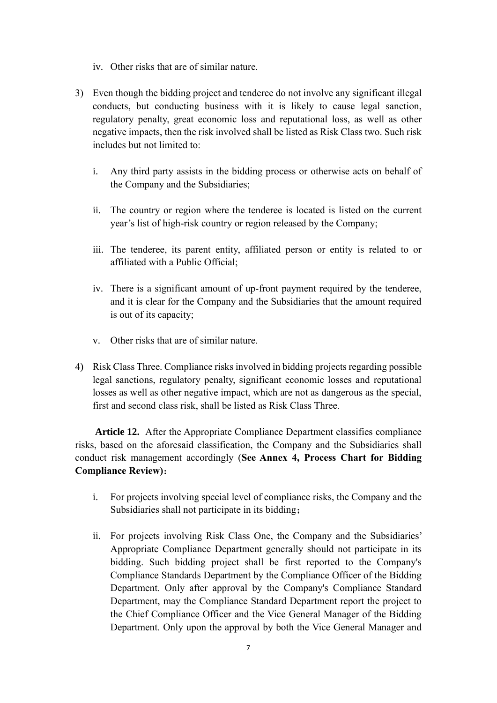- iv. Other risks that are of similar nature.
- 3) Even though the bidding project and tenderee do not involve any significant illegal conducts, but conducting business with it is likely to cause legal sanction, regulatory penalty, great economic loss and reputational loss, as well as other negative impacts, then the risk involved shall be listed as Risk Class two. Such risk includes but not limited to:
	- i. Any third party assists in the bidding process or otherwise acts on behalf of the Company and the Subsidiaries;
	- ii. The country or region where the tenderee is located is listed on the current year's list of high-risk country or region released by the Company;
	- iii. The tenderee, its parent entity, affiliated person or entity is related to or affiliated with a Public Official;
	- iv. There is a significant amount of up-front payment required by the tenderee, and it is clear for the Company and the Subsidiaries that the amount required is out of its capacity;
	- v. Other risks that are of similar nature.
- 4) Risk Class Three. Compliance risks involved in bidding projects regarding possible legal sanctions, regulatory penalty, significant economic losses and reputational losses as well as other negative impact, which are not as dangerous as the special, first and second class risk, shall be listed as Risk Class Three.

**Article 12.** After the Appropriate Compliance Department classifies compliance risks, based on the aforesaid classification, the Company and the Subsidiaries shall conduct risk management accordingly (**See Annex 4, Process Chart for Bidding Compliance Review)**:

- i. For projects involving special level of compliance risks, the Company and the Subsidiaries shall not participate in its bidding;
- ii. For projects involving Risk Class One, the Company and the Subsidiaries' Appropriate Compliance Department generally should not participate in its bidding. Such bidding project shall be first reported to the Company's Compliance Standards Department by the Compliance Officer of the Bidding Department. Only after approval by the Company's Compliance Standard Department, may the Compliance Standard Department report the project to the Chief Compliance Officer and the Vice General Manager of the Bidding Department. Only upon the approval by both the Vice General Manager and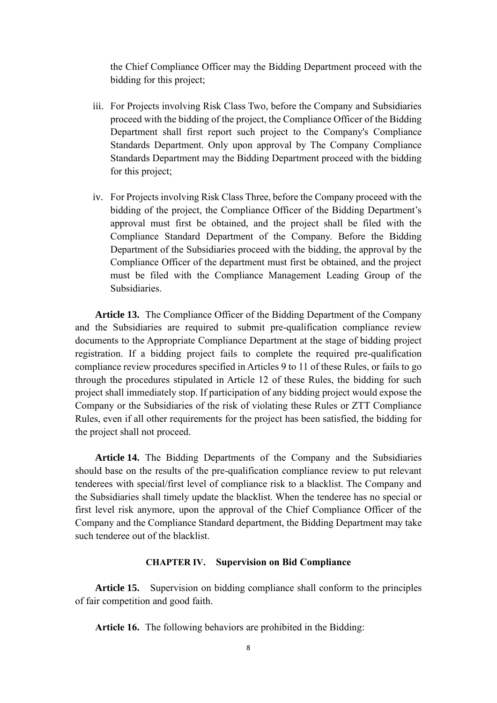the Chief Compliance Officer may the Bidding Department proceed with the bidding for this project;

- iii. For Projects involving Risk Class Two, before the Company and Subsidiaries proceed with the bidding of the project, the Compliance Officer of the Bidding Department shall first report such project to the Company's Compliance Standards Department. Only upon approval by The Company Compliance Standards Department may the Bidding Department proceed with the bidding for this project;
- iv. For Projects involving Risk Class Three, before the Company proceed with the bidding of the project, the Compliance Officer of the Bidding Department's approval must first be obtained, and the project shall be filed with the Compliance Standard Department of the Company. Before the Bidding Department of the Subsidiaries proceed with the bidding, the approval by the Compliance Officer of the department must first be obtained, and the project must be filed with the Compliance Management Leading Group of the Subsidiaries.

**Article 13.** The Compliance Officer of the Bidding Department of the Company and the Subsidiaries are required to submit pre-qualification compliance review documents to the Appropriate Compliance Department at the stage of bidding project registration. If a bidding project fails to complete the required pre-qualification compliance review procedures specified in Articles 9 to 11 of these Rules, or fails to go through the procedures stipulated in Article 12 of these Rules, the bidding for such project shall immediately stop. If participation of any bidding project would expose the Company or the Subsidiaries of the risk of violating these Rules or ZTT Compliance Rules, even if all other requirements for the project has been satisfied, the bidding for the project shall not proceed.

**Article 14.** The Bidding Departments of the Company and the Subsidiaries should base on the results of the pre-qualification compliance review to put relevant tenderees with special/first level of compliance risk to a blacklist. The Company and the Subsidiaries shall timely update the blacklist. When the tenderee has no special or first level risk anymore, upon the approval of the Chief Compliance Officer of the Company and the Compliance Standard department, the Bidding Department may take such tenderee out of the blacklist.

#### **CHAPTER IV. Supervision on Bid Compliance**

**Article 15.** Supervision on bidding compliance shall conform to the principles of fair competition and good faith.

**Article 16.** The following behaviors are prohibited in the Bidding: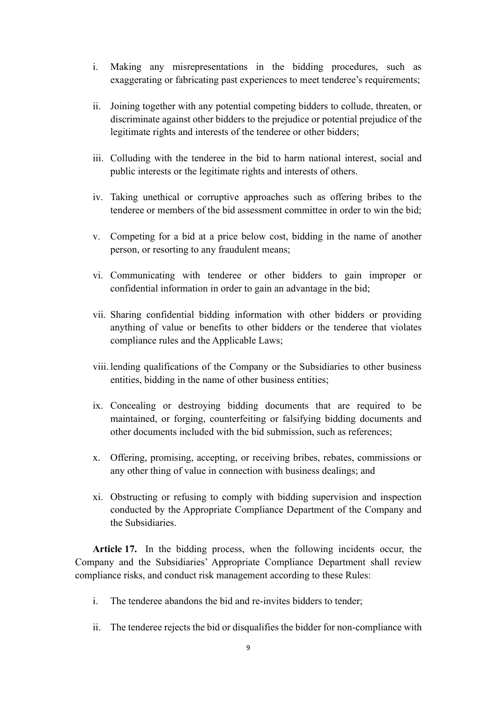- i. Making any misrepresentations in the bidding procedures, such as exaggerating or fabricating past experiences to meet tenderee's requirements;
- ii. Joining together with any potential competing bidders to collude, threaten, or discriminate against other bidders to the prejudice or potential prejudice of the legitimate rights and interests of the tenderee or other bidders;
- iii. Colluding with the tenderee in the bid to harm national interest, social and public interests or the legitimate rights and interests of others.
- iv. Taking unethical or corruptive approaches such as offering bribes to the tenderee or members of the bid assessment committee in order to win the bid;
- v. Competing for a bid at a price below cost, bidding in the name of another person, or resorting to any fraudulent means;
- vi. Communicating with tenderee or other bidders to gain improper or confidential information in order to gain an advantage in the bid;
- vii. Sharing confidential bidding information with other bidders or providing anything of value or benefits to other bidders or the tenderee that violates compliance rules and the Applicable Laws;
- viii. lending qualifications of the Company or the Subsidiaries to other business entities, bidding in the name of other business entities;
- ix. Concealing or destroying bidding documents that are required to be maintained, or forging, counterfeiting or falsifying bidding documents and other documents included with the bid submission, such as references;
- x. Offering, promising, accepting, or receiving bribes, rebates, commissions or any other thing of value in connection with business dealings; and
- xi. Obstructing or refusing to comply with bidding supervision and inspection conducted by the Appropriate Compliance Department of the Company and the Subsidiaries.

**Article 17.** In the bidding process, when the following incidents occur, the Company and the Subsidiaries' Appropriate Compliance Department shall review compliance risks, and conduct risk management according to these Rules:

- i. The tenderee abandons the bid and re-invites bidders to tender;
- ii. The tenderee rejects the bid or disqualifies the bidder for non-compliance with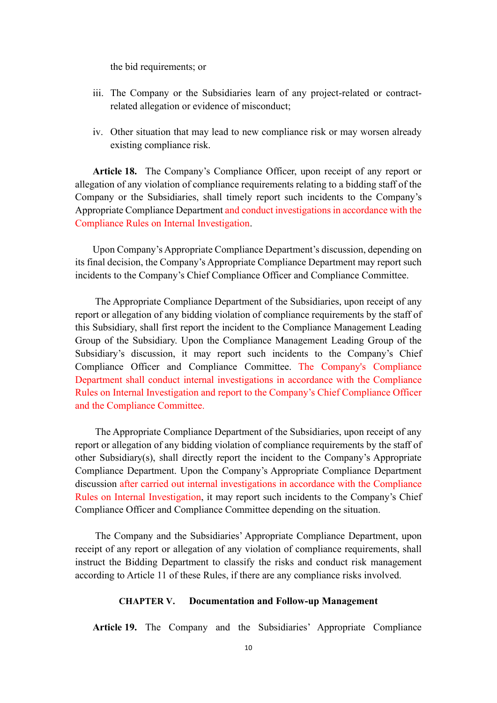the bid requirements; or

- iii. The Company or the Subsidiaries learn of any project-related or contractrelated allegation or evidence of misconduct;
- iv. Other situation that may lead to new compliance risk or may worsen already existing compliance risk.

**Article 18.** The Company's Compliance Officer, upon receipt of any report or allegation of any violation of compliance requirements relating to a bidding staff of the Company or the Subsidiaries, shall timely report such incidents to the Company's Appropriate Compliance Department and conduct investigations in accordance with the Compliance Rules on Internal Investigation.

Upon Company's Appropriate Compliance Department's discussion, depending on its final decision, the Company's Appropriate Compliance Department may report such incidents to the Company's Chief Compliance Officer and Compliance Committee.

The Appropriate Compliance Department of the Subsidiaries, upon receipt of any report or allegation of any bidding violation of compliance requirements by the staff of this Subsidiary, shall first report the incident to the Compliance Management Leading Group of the Subsidiary. Upon the Compliance Management Leading Group of the Subsidiary's discussion, it may report such incidents to the Company's Chief Compliance Officer and Compliance Committee. The Company's Compliance Department shall conduct internal investigations in accordance with the Compliance Rules on Internal Investigation and report to the Company's Chief Compliance Officer and the Compliance Committee.

The Appropriate Compliance Department of the Subsidiaries, upon receipt of any report or allegation of any bidding violation of compliance requirements by the staff of other Subsidiary(s), shall directly report the incident to the Company's Appropriate Compliance Department. Upon the Company's Appropriate Compliance Department discussion after carried out internal investigations in accordance with the Compliance Rules on Internal Investigation, it may report such incidents to the Company's Chief Compliance Officer and Compliance Committee depending on the situation.

The Company and the Subsidiaries' Appropriate Compliance Department, upon receipt of any report or allegation of any violation of compliance requirements, shall instruct the Bidding Department to classify the risks and conduct risk management according to Article 11 of these Rules, if there are any compliance risks involved.

#### **CHAPTER V. Documentation and Follow-up Management**

**Article 19.** The Company and the Subsidiaries' Appropriate Compliance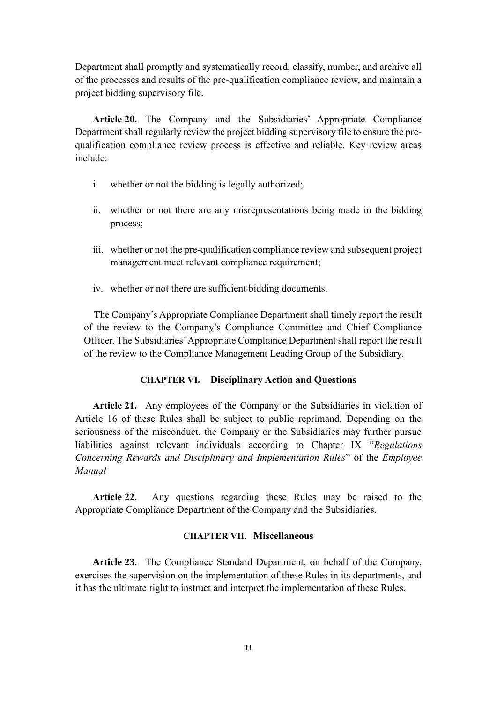Department shall promptly and systematically record, classify, number, and archive all of the processes and results of the pre-qualification compliance review, and maintain a project bidding supervisory file.

**Article 20.** The Company and the Subsidiaries' Appropriate Compliance Department shall regularly review the project bidding supervisory file to ensure the prequalification compliance review process is effective and reliable. Key review areas include:

- i. whether or not the bidding is legally authorized;
- ii. whether or not there are any misrepresentations being made in the bidding process;
- iii. whether or not the pre-qualification compliance review and subsequent project management meet relevant compliance requirement;
- iv. whether or not there are sufficient bidding documents.

The Company's Appropriate Compliance Department shall timely report the result of the review to the Company's Compliance Committee and Chief Compliance Officer. The Subsidiaries' Appropriate Compliance Department shall report the result of the review to the Compliance Management Leading Group of the Subsidiary.

#### **CHAPTER VI. Disciplinary Action and Questions**

**Article 21.** Any employees of the Company or the Subsidiaries in violation of Article 16 of these Rules shall be subject to public reprimand. Depending on the seriousness of the misconduct, the Company or the Subsidiaries may further pursue liabilities against relevant individuals according to Chapter IX "*Regulations Concerning Rewards and Disciplinary and Implementation Rules*" of the *Employee Manual*

**Article 22.** Any questions regarding these Rules may be raised to the Appropriate Compliance Department of the Company and the Subsidiaries.

### **CHAPTER VII. Miscellaneous**

**Article 23.** The Compliance Standard Department, on behalf of the Company, exercises the supervision on the implementation of these Rules in its departments, and it has the ultimate right to instruct and interpret the implementation of these Rules.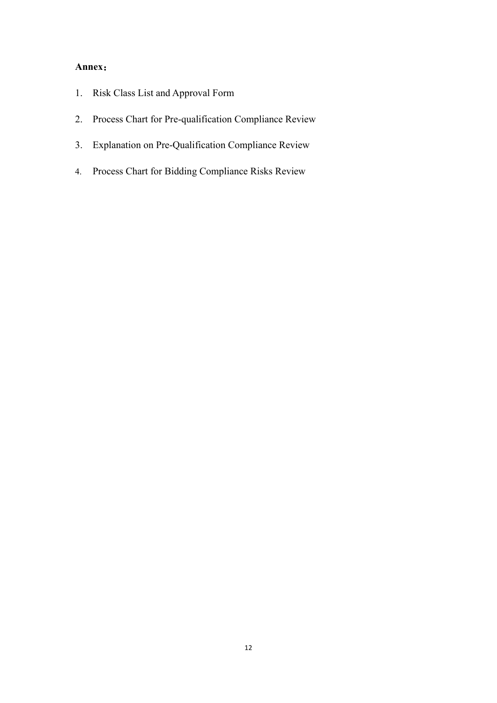### **Annex**:

- 1. Risk Class List and Approval Form
- 2. Process Chart for Pre-qualification Compliance Review
- 3. Explanation on Pre-Qualification Compliance Review
- 4. Process Chart for Bidding Compliance Risks Review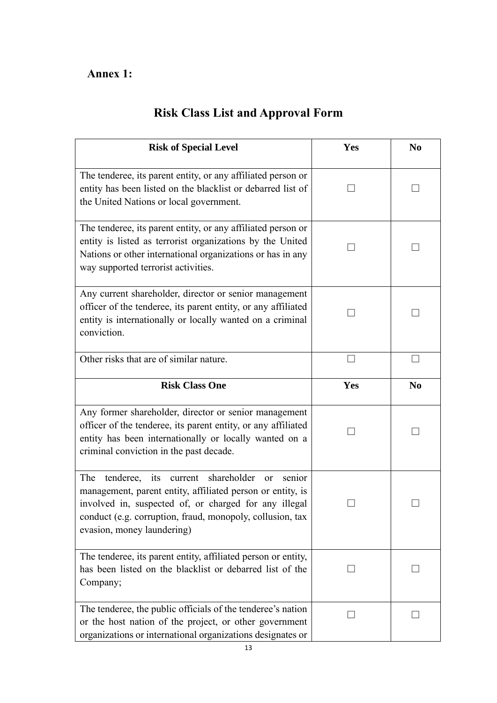## **Annex 1:**

| <b>Risk Class List and Approval Form</b> |  |  |  |  |  |  |  |
|------------------------------------------|--|--|--|--|--|--|--|
|------------------------------------------|--|--|--|--|--|--|--|

| <b>Risk of Special Level</b>                                                                                                                                                                                                                                                     | Yes | N <sub>0</sub> |
|----------------------------------------------------------------------------------------------------------------------------------------------------------------------------------------------------------------------------------------------------------------------------------|-----|----------------|
| The tenderee, its parent entity, or any affiliated person or<br>entity has been listed on the blacklist or debarred list of<br>the United Nations or local government.                                                                                                           |     |                |
| The tenderee, its parent entity, or any affiliated person or<br>entity is listed as terrorist organizations by the United<br>Nations or other international organizations or has in any<br>way supported terrorist activities.                                                   |     |                |
| Any current shareholder, director or senior management<br>officer of the tenderee, its parent entity, or any affiliated<br>entity is internationally or locally wanted on a criminal<br>conviction.                                                                              |     |                |
| Other risks that are of similar nature.                                                                                                                                                                                                                                          |     |                |
| <b>Risk Class One</b>                                                                                                                                                                                                                                                            | Yes | N <sub>0</sub> |
| Any former shareholder, director or senior management<br>officer of the tenderee, its parent entity, or any affiliated<br>entity has been internationally or locally wanted on a<br>criminal conviction in the past decade.                                                      |     |                |
| The<br>current shareholder<br>its<br>tenderee,<br>senior<br>or<br>management, parent entity, affiliated person or entity, is<br>involved in, suspected of, or charged for any illegal<br>conduct (e.g. corruption, fraud, monopoly, collusion, tax<br>evasion, money laundering) |     |                |
| The tenderee, its parent entity, affiliated person or entity,<br>has been listed on the blacklist or debarred list of the<br>Company;                                                                                                                                            |     |                |
| The tenderee, the public officials of the tenderee's nation<br>or the host nation of the project, or other government<br>organizations or international organizations designates or                                                                                              |     |                |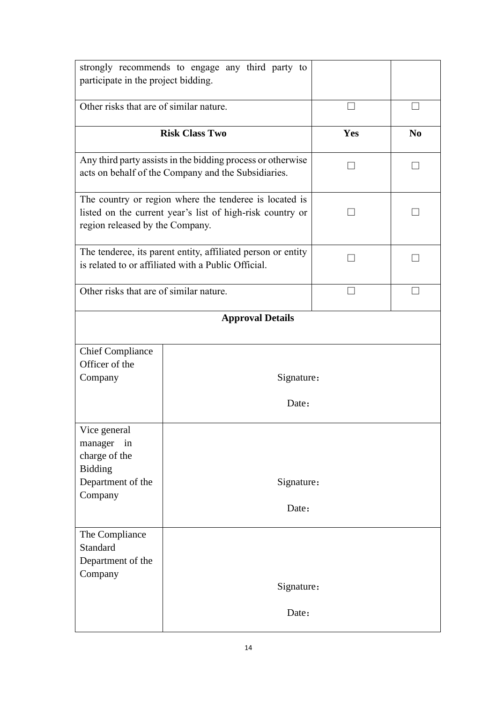| strongly recommends to engage any third party to<br>participate in the project bidding.                                                                |                                                                                                                    |     |                |
|--------------------------------------------------------------------------------------------------------------------------------------------------------|--------------------------------------------------------------------------------------------------------------------|-----|----------------|
| Other risks that are of similar nature.                                                                                                                |                                                                                                                    |     |                |
|                                                                                                                                                        | <b>Risk Class Two</b>                                                                                              | Yes | N <sub>0</sub> |
|                                                                                                                                                        | Any third party assists in the bidding process or otherwise<br>acts on behalf of the Company and the Subsidiaries. |     |                |
| The country or region where the tenderee is located is<br>listed on the current year's list of high-risk country or<br>region released by the Company. |                                                                                                                    |     |                |
| The tenderee, its parent entity, affiliated person or entity<br>is related to or affiliated with a Public Official.                                    |                                                                                                                    |     |                |
| Other risks that are of similar nature.                                                                                                                |                                                                                                                    |     |                |
|                                                                                                                                                        | <b>Approval Details</b>                                                                                            |     |                |
| <b>Chief Compliance</b><br>Officer of the<br>Company                                                                                                   | Signature:<br>Date:                                                                                                |     |                |
| Vice general<br>manager in<br>charge of the<br><b>Bidding</b><br>Department of the<br>Company                                                          | Signature:<br>Date:                                                                                                |     |                |
| The Compliance<br>Standard<br>Department of the<br>Company                                                                                             | Signature:<br>Date:                                                                                                |     |                |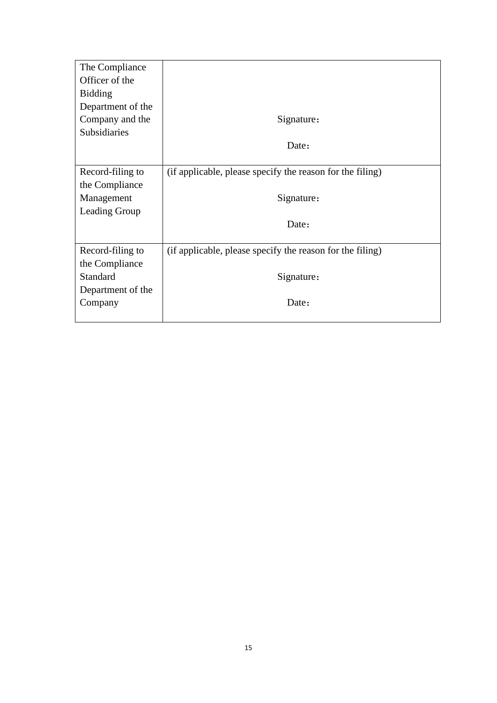| The Compliance    |                                                           |
|-------------------|-----------------------------------------------------------|
| Officer of the    |                                                           |
| <b>Bidding</b>    |                                                           |
| Department of the |                                                           |
| Company and the   | Signature:                                                |
| Subsidiaries      |                                                           |
|                   | Date:                                                     |
|                   |                                                           |
| Record-filing to  | (if applicable, please specify the reason for the filing) |
| the Compliance    |                                                           |
| Management        | Signature:                                                |
| Leading Group     |                                                           |
|                   | Date:                                                     |
|                   |                                                           |
| Record-filing to  | (if applicable, please specify the reason for the filing) |
| the Compliance    |                                                           |
| Standard          | Signature:                                                |
| Department of the |                                                           |
| Company           | Date:                                                     |
|                   |                                                           |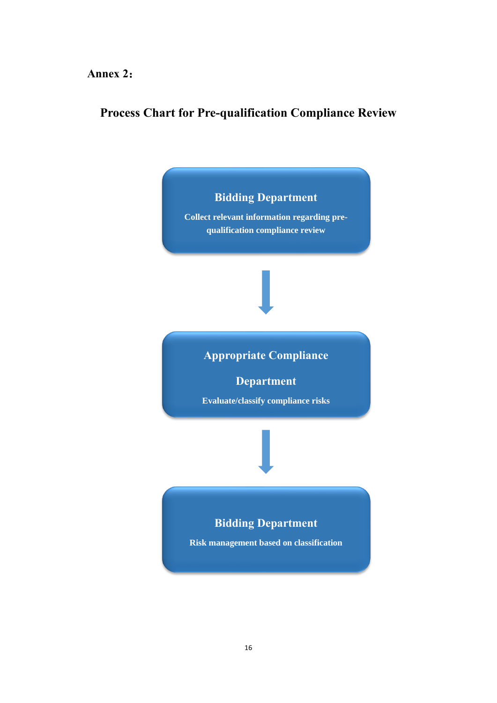### **Annex 2**:

### **Process Chart for Pre-qualification Compliance Review**



**Collect relevant information regarding prequalification compliance review**

## **Appropriate Compliance**

**Department**

**Evaluate/classify compliance risks**

### **Bidding Department**

**Risk management based on classification**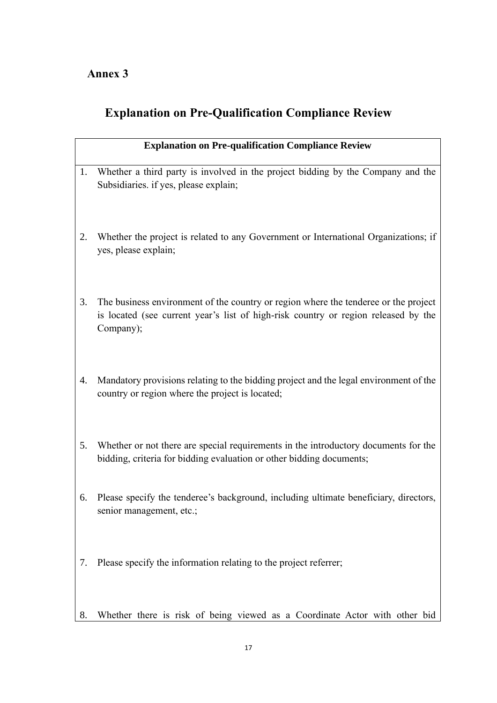## **Annex 3**

# **Explanation on Pre-Qualification Compliance Review**

|    | <b>Explanation on Pre-qualification Compliance Review</b>                                                                                                                              |
|----|----------------------------------------------------------------------------------------------------------------------------------------------------------------------------------------|
| 1. | Whether a third party is involved in the project bidding by the Company and the<br>Subsidiaries. if yes, please explain;                                                               |
| 2. | Whether the project is related to any Government or International Organizations; if<br>yes, please explain;                                                                            |
| 3. | The business environment of the country or region where the tenderee or the project<br>is located (see current year's list of high-risk country or region released by the<br>Company); |
| 4. | Mandatory provisions relating to the bidding project and the legal environment of the<br>country or region where the project is located;                                               |
| 5. | Whether or not there are special requirements in the introductory documents for the<br>bidding, criteria for bidding evaluation or other bidding documents;                            |
| 6. | Please specify the tenderee's background, including ultimate beneficiary, directors,<br>senior management, etc.;                                                                       |
| 7. | Please specify the information relating to the project referrer;                                                                                                                       |
| 8. | Whether there is risk of being viewed as a Coordinate Actor with other bid                                                                                                             |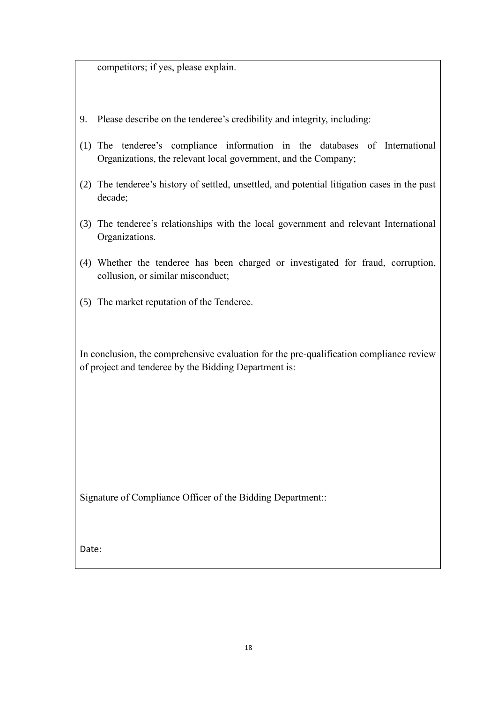competitors; if yes, please explain.

- 9. Please describe on the tenderee's credibility and integrity, including:
- (1) The tenderee's compliance information in the databases of International Organizations, the relevant local government, and the Company;
- (2) The tenderee's history of settled, unsettled, and potential litigation cases in the past decade;
- (3) The tenderee's relationships with the local government and relevant International Organizations.
- (4) Whether the tenderee has been charged or investigated for fraud, corruption, collusion, or similar misconduct;
- (5) The market reputation of the Tenderee.

In conclusion, the comprehensive evaluation for the pre-qualification compliance review of project and tenderee by the Bidding Department is:

Signature of Compliance Officer of the Bidding Department::

Date: